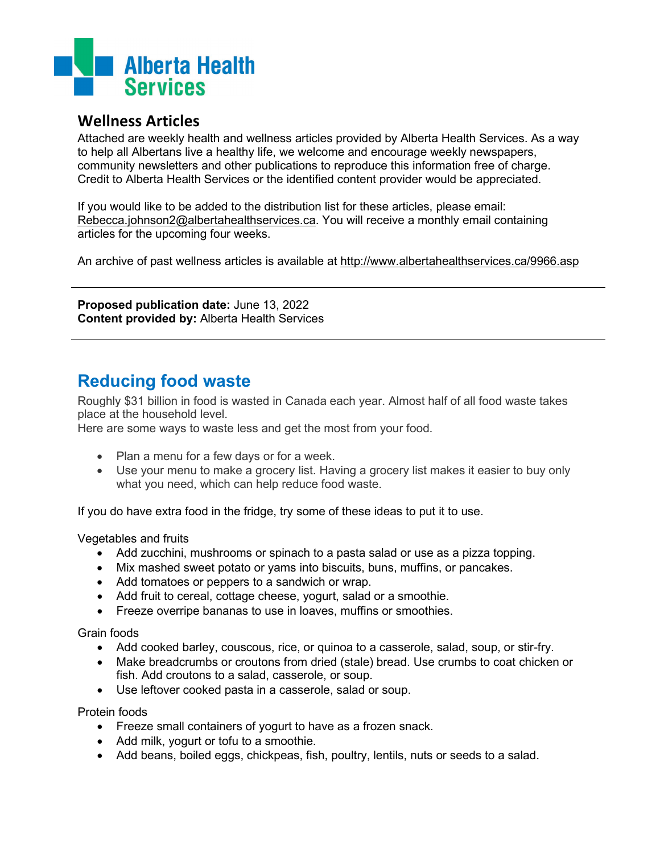

## **Wellness Articles**

Attached are weekly health and wellness articles provided by Alberta Health Services. As a way to help all Albertans live a healthy life, we welcome and encourage weekly newspapers, community newsletters and other publications to reproduce this information free of charge. Credit to Alberta Health Services or the identified content provider would be appreciated.

If you would like to be added to the distribution list for these articles, please email: [Rebecca.johnson2@albertahealthservices.ca.](mailto:Rebecca.johnson2@albertahealthservices.ca) You will receive a monthly email containing articles for the upcoming four weeks.

An archive of past wellness articles is available at<http://www.albertahealthservices.ca/9966.asp>

**Proposed publication date:** June 13, 2022 **Content provided by:** Alberta Health Services

## **Reducing food waste**

Roughly \$31 billion in food is wasted in Canada each year. Almost half of all food waste takes place at the household level.

Here are some ways to waste less and get the most from your food.

- Plan a menu for a few days or for a week.
- Use your menu to make a grocery list. Having a grocery list makes it easier to buy only what you need, which can help reduce food waste.

If you do have extra food in the fridge, try some of these ideas to put it to use.

Vegetables and fruits

- Add zucchini, mushrooms or spinach to a pasta salad or use as a pizza topping.
- Mix mashed sweet potato or yams into biscuits, buns, muffins, or pancakes.
- Add tomatoes or peppers to a sandwich or wrap.
- Add fruit to cereal, cottage cheese, yogurt, salad or a smoothie.
- Freeze overripe bananas to use in loaves, muffins or smoothies.

Grain foods

- Add cooked barley, couscous, rice, or quinoa to a casserole, salad, soup, or stir-fry.
- Make breadcrumbs or croutons from dried (stale) bread. Use crumbs to coat chicken or fish. Add croutons to a salad, casserole, or soup.
- Use leftover cooked pasta in a casserole, salad or soup.

Protein foods

- Freeze small containers of yogurt to have as a frozen snack.
- Add milk, yogurt or tofu to a smoothie.
- Add beans, boiled eggs, chickpeas, fish, poultry, lentils, nuts or seeds to a salad.